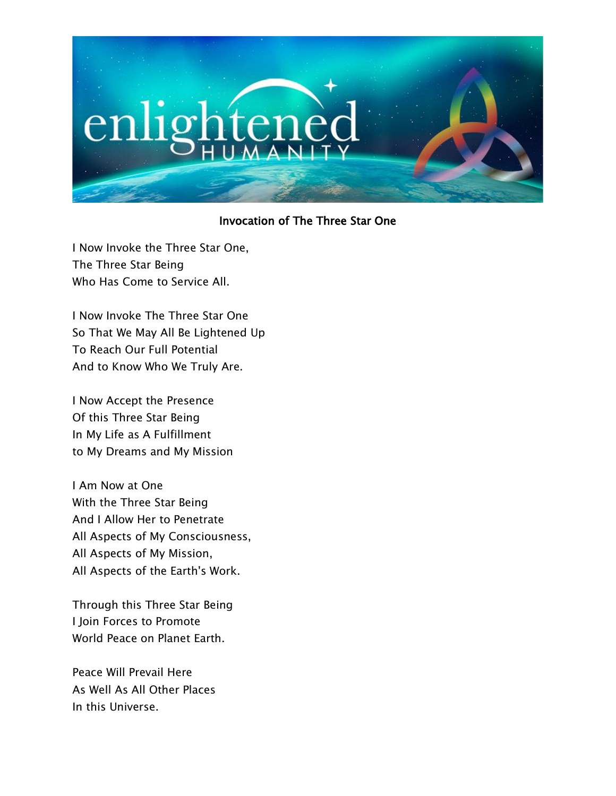

## Invocation of The Three Star One

I Now Invoke the Three Star One, The Three Star Being Who Has Come to Service All.

I Now Invoke The Three Star One So That We May All Be Lightened Up To Reach Our Full Potential And to Know Who We Truly Are.

I Now Accept the Presence Of this Three Star Being In My Life as A Fulfillment to My Dreams and My Mission

I Am Now at One With the Three Star Being And I Allow Her to Penetrate All Aspects of My Consciousness, All Aspects of My Mission, All Aspects of the Earth's Work.

Through this Three Star Being I Join Forces to Promote World Peace on Planet Earth.

Peace Will Prevail Here As Well As All Other Places In this Universe.